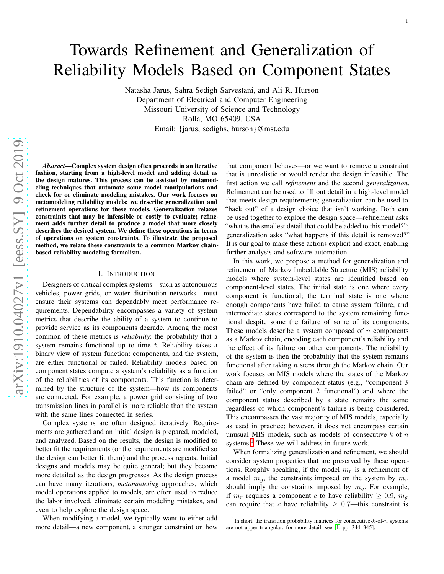# Towards Refinement and Generalization of Reliability Models Based on Component States

Natasha Jarus, Sahra Sedigh Sarvestani, and Ali R. Hurson Department of Electrical and Computer Engineering Missouri University of Science and Technology Rolla, MO 65409, USA Email: {jarus, sedighs, hurson}@mst.edu

arXiv:1910.04027v1 [eess.SY] 9 Oct 2019 [arXiv:1910.04027v1 \[eess.SY\] 9 Oct 2019](http://arxiv.org/abs/1910.04027v1)

*Abstract*—Complex system design often proceeds in an iterative fashion, starting from a high-level model and adding detail as the design matures. This process can be assisted by metamodeling techniques that automate some model manipulations and check for or eliminate modeling mistakes. Our work focuses o n metamodeling reliability models: we describe generalization and refinement operations for these models. Generalization relaxes constraints that may be infeasible or costly to evaluate; refinement adds further detail to produce a model that more closely describes the desired system. We define these operations in terms of operations on system constraints. To illustrate the proposed method, we relate these constraints to a common Markov chain based reliability modeling formalism.

# I. INTRODUCTION

Designers of critical complex systems—such as autonomous vehicles, power grids, or water distribution networks—mus t ensure their systems can dependably meet performance requirements. Dependability encompasses a variety of system metrics that describe the ability of a system to continue to provide service as its components degrade. Among the most common of these metrics is *reliability*: the probability that a system remains functional up to time  $t$ . Reliability takes a binary view of system function: components, and the system, are either functional or failed. Reliability models based o n component states compute a system's reliability as a function of the reliabilities of its components. This function is determined by the structure of the system—how its components are connected. For example, a power grid consisting of two transmission lines in parallel is more reliable than the system with the same lines connected in series.

Complex systems are often designed iteratively. Requirements are gathered and an initial design is prepared, modeled, and analyzed. Based on the results, the design is modified to better fit the requirements (or the requirements are modified so the design can better fit them) and the process repeats. Initial designs and models may be quite general; but they become more detailed as the design progresses. As the design proces s can have many iterations, *metamodeling* approaches, which model operations applied to models, are often used to reduce the labor involved, eliminate certain modeling mistakes, and even to help explore the design space.

When modifying a model, we typically want to either add more detail—a new component, a stronger constraint on how

that component behaves—or we want to remove a constraint that is unrealistic or would render the design infeasible. The first action we call *refinement* and the second *generalization* . Refinement can be used to fill out detail in a high-level model that meets design requirements; generalization can be used to "back out" of a design choice that isn't working. Both can be used together to explore the design space—refinement asks "what is the smallest detail that could be added to this model?"; generalization asks "what happens if this detail is removed?" It is our goal to make these actions explicit and exact, enabling further analysis and software automation.

In this work, we propose a method for generalization and refinement of Markov Imbeddable Structure (MIS) reliabilit y models where system-level states are identified based on component-level states. The initial state is one where every component is functional; the terminal state is one where enough components have failed to cause system failure, and intermediate states correspond to the system remaining functional despite some the failure of some of its components. These models describe a system composed of  $n$  components as a Markov chain, encoding each component's reliability an d the effect of its failure on other components. The reliability of the system is then the probability that the system remains functional after taking  $n$  steps through the Markov chain. Our work focuses on MIS models where the states of the Markov chain are defined by component status (e.g., "component 3 failed" or "only component 2 functional") and where the component status described by a state remains the same regardless of which component's failure is being considered. This encompasses the vast majority of MIS models, especiall y as used in practice; however, it does not encompass certain unusual MIS models, such as models of consecutive- $k$ -of- $n$ systems. [1](#page-0-0) These we will address in future work.

When formalizing generalization and refinement, we should consider system properties that are preserved by these operations. Roughly speaking, if the model  $m<sub>r</sub>$  is a refinement of a model  $m_g$ , the constraints imposed on the system by  $m_r$ should imply the constraints imposed by  $m_g$ . For example, if  $m_r$  requires a component c to have reliability  $\geq 0.9$ ,  $m_g$ can require that c have reliability  $\geq 0.7$ —this constraint is

<span id="page-0-0"></span><sup>&</sup>lt;sup>1</sup>In short, the transition probability matrices for consecutive- $k$ -of- $n$  systems are not upper triangular; for more detail, see [\[1,](#page-6-0) pp. 344–345].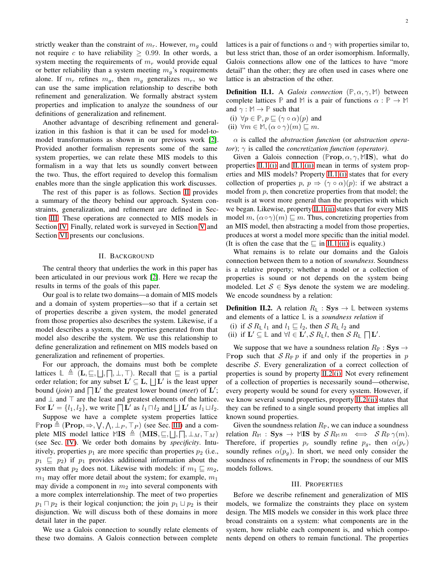strictly weaker than the constraint of  $m_r$ . However,  $m_q$  could not require c to have reliability  $\geq 0.99$ . In other words, a system meeting the requirements of  $m_r$  would provide equal or better reliability than a system meeting  $m_q$ 's requirements alone. If  $m_r$  refines  $m_g$ , then  $m_g$  generalizes  $m_r$ , so we can use the same implication relationship to describe both refinement and generalization. We formally abstract system properties and implication to analyze the soundness of our definitions of generalization and refinement.

Another advantage of describing refinement and generalization in this fashion is that it can be used for model-tomodel transformations as shown in our previous work [\[2\]](#page-6-1). Provided another formalism represents some of the same system properties, we can relate these MIS models to this formalism in a way that lets us soundly convert between the two. Thus, the effort required to develop this formalism enables more than the single application this work discusses.

The rest of this paper is as follows. Section [II](#page-1-0) provides a summary of the theory behind our approach. System constraints, generalization, and refinement are defined in Section [III.](#page-1-1) These operations are connected to MIS models in Section [IV.](#page-5-0) Finally, related work is surveyed in Section [V](#page-6-2) and Section [VI](#page-6-3) presents our conclusions.

#### II. BACKGROUND

<span id="page-1-0"></span>The central theory that underlies the work in this paper has been articulated in our previous work [\[2\]](#page-6-1). Here we recap the results in terms of the goals of this paper.

Our goal is to relate two domains—a domain of MIS models and a domain of system properties—so that if a certain set of properties describe a given system, the model generated from those properties also describes the system. Likewise, if a model describes a system, the properties generated from that model also describe the system. We use this relationship to define generalization and refinement on MIS models based on generalization and refinement of properties.

For our approach, the domains must both be complete lattices  $\mathbb{L} \triangleq (L, \sqsubseteq, \sqcup, \sqcap, \perp, \top)$ . Recall that  $\sqsubseteq$  is a partial order relation; for any subset  $\mathbf{L}' \subseteq \mathbf{L}$ ,  $\Box$   $\mathbf{L}'$  is the least upper bound (*join*) and  $\prod$  *L'* the greatest lower bound (*meet*) of *L'*; and  $\perp$  and  $\top$  are the least and greatest elements of the lattice. For  $\mathbf{L}' = \{l_1, l_2\}$ , we write  $\prod \mathbf{L}'$  as  $l_1 \sqcap l_2$  and  $\prod \mathbf{L}'$  as  $l_1 \sqcup l_2$ .

Suppose we have a complete system properties lattice  $\mathbb{P} \text{rop} \triangleq (\text{Prop}, \Rightarrow, \forall, \wedge, \bot_P, \top_P)$  (see Sec. [III\)](#page-1-1) and a complete MIS model lattice  $MIS \triangleq (MIS, \sqsubseteq, \sqcup, \sqcap, \perp_M, \top_M)$ (see Sec. [IV\)](#page-5-0). We order both domains by *specificity*. Intuitively, properties  $p_1$  are more specific than properties  $p_2$  (i.e.,  $p_1 \nightharpoonup p_2$  if  $p_1$  provides additional information about the system that  $p_2$  does not. Likewise with models: if  $m_1 \sqsubseteq m_2$ ,  $m_1$  may offer more detail about the system; for example,  $m_1$ may divide a component in  $m_2$  into several components with a more complex interrelationship. The meet of two properties  $p_1 \sqcap p_2$  is their logical conjunction; the join  $p_1 \sqcup p_2$  is their disjunction. We will discuss both of these domains in more detail later in the paper.

We use a Galois connection to soundly relate elements of these two domains. A Galois connection between complete lattices is a pair of functions  $\alpha$  and  $\gamma$  with properties similar to, but less strict than, those of an order isomorphism. Informally, Galois connections allow one of the lattices to have "more detail" than the other; they are often used in cases where one lattice is an abstraction of the other.

<span id="page-1-2"></span>**Definition II.1.** A *Galois connection*  $(\mathbb{P}, \alpha, \gamma, \mathbb{M})$  between complete lattices **P** and M is a pair of functions  $\alpha : \mathbb{P} \to \mathbb{M}$ and  $\gamma : \mathbb{M} \to \mathbb{P}$  such that

<span id="page-1-4"></span><span id="page-1-3"></span>(i)  $\forall p \in \mathbb{P}, p \sqsubseteq (\gamma \circ \alpha)(p)$  and

(ii)  $\forall m \in \mathbb{M}, (\alpha \circ \gamma)(m) \sqsubseteq m$ .

α is called the *abstraction function* (or *abstraction operator*); γ is called the *concretization function (operator)*.

Given a Galois connection ( $\mathbb{P}$ rop,  $\alpha$ ,  $\gamma$ , MIS), what do properties [II.1](#page-1-2)[.\(i\)](#page-1-3) and [II.1](#page-1-2)[.\(ii\)](#page-1-4) mean in terms of system properties and MIS models? Property [II.1](#page-1-2)[.\(i\)](#page-1-3) states that for every collection of properties  $p, p \Rightarrow (\gamma \circ \alpha)(p)$ : if we abstract a model from  $p$ , then concretize properties from that model; the result is at worst more general than the properties with which we began. Likewise, property [II.1](#page-1-2)[.\(ii\)](#page-1-4) states that for every MIS model m,  $(\alpha \circ \gamma)(m) \sqsubseteq m$ . Thus, concretizing properties from an MIS model, then abstracting a model from those properties, produces at worst a model more specific than the initial model. (It is often the case that the  $\sqsubseteq$  in [II.1](#page-1-2)[.\(ii\)](#page-1-4) is equality.)

What remains is to relate our domains and the Galois connection between them to a notion of *soundness*. Soundness is a relative property; whether a model or a collection of properties is sound or not depends on the system being modeled. Let  $S \in \mathbf{Sys}$  denote the system we are modeling. We encode soundness by a relation:

<span id="page-1-5"></span>**Definition II.2.** A relation  $R_{\mathbb{L}}$  : Sys  $\rightarrow \mathbb{L}$  between systems and elements of a lattice **L** is a *soundness relation* if

<span id="page-1-7"></span><span id="page-1-6"></span>(i) if  $S R_{\mathbb{L}} l_1$  and  $l_1 \sqsubseteq l_2$ , then  $S R_{\mathbb{L}} l_2$  and

(ii) if  $\mathbf{L}' \subseteq \mathbb{L}$  and  $\forall l \in \mathbf{L}'$ ,  $S R_{\mathbb{L}} l$ , then  $S R_{\mathbb{L}} \cap \mathbf{L}'$ .

We suppose that we have a soundness relation  $R_{\mathbb{P}}$  : Sys  $\rightarrow$ **Prop** such that  $S R_{\mathbb{P}} p$  if and only if the properties in p describe S. Every generalization of a correct collection of properties is sound by property [II.2](#page-1-5)[.\(i\).](#page-1-6) Not every refinement of a collection of properties is necessarily sound—otherwise, every property would be sound for every system. However, if we know several sound properties, property [II.2](#page-1-5)[.\(ii\)](#page-1-7) states that they can be refined to a single sound property that implies all known sound properties.

Given the soundness relation  $R_{\mathbb{P}}$ , we can induce a soundness relation  $R_{\mathbb{M}}$  : Sys  $\rightarrow$  MIS by  $\mathcal{S} R_{\mathbb{M}} m \iff \mathcal{S} R_{\mathbb{P}} \gamma(m)$ . Therefore, if properties  $p_r$  soundly refine  $p_q$ , then  $\alpha(p_r)$ soundly refines  $\alpha(p_q)$ . In short, we need only consider the soundness of refinements in **P**rop; the soundness of our MIS models follows.

#### III. PROPERTIES

<span id="page-1-1"></span>Before we describe refinement and generalization of MIS models, we formalize the constraints they place on system design. The MIS models we consider in this work place three broad constraints on a system: what components are in the system, how reliable each component is, and which components depend on others to remain functional. The properties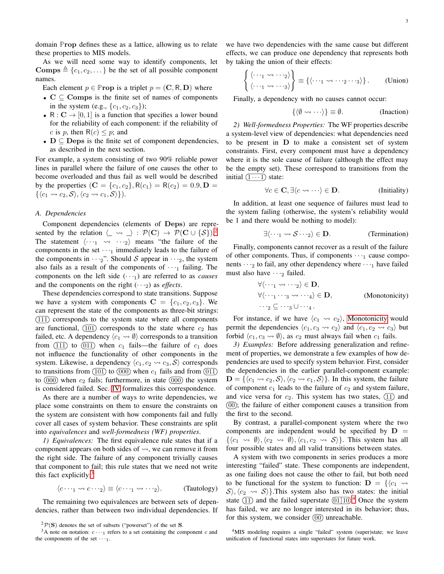domain **P**rop defines these as a lattice, allowing us to relate these properties to MIS models.

As we will need some way to identify components, let Comps  $\triangleq \{c_1, c_2, \dots\}$  be the set of all possible component names.

Each element  $p \in \mathbb{P}$ **rop** is a triplet  $p = (\mathbf{C}, \mathbf{R}, \mathbf{D})$  where

- $C \subseteq \text{Comps}$  is the finite set of names of components in the system (e.g.,  $\{c_1, c_2, c_3\}$ );
- R :  $C \rightarrow [0, 1]$  is a function that specifies a lower bound for the reliability of each component: if the reliability of c is p, then  $R(c) \leq p$ ; and
- $D \subseteq \text{Deps}$  is the finite set of component dependencies, as described in the next section.

For example, a system consisting of two 90% reliable power lines in parallel where the failure of one causes the other to become overloaded and thus fail as well would be described by the properties  $(C = {c_1, c_2}, R(c_1) = R(c_2) = 0.9, D =$  $\{\langle c_1 \leadsto c_2, \mathcal{S} \rangle, \langle c_2 \leadsto c_1, \mathcal{S} \rangle\}.$ 

### *A. Dependencies*

Component dependencies (elements of Deps) are represented by the relation  $\langle \_\leadsto \_\rangle : \mathcal{P}(\mathbf{C}) \to \mathcal{P}(\mathbf{C} \cup \{\mathcal{S}\})^2$  $\langle \_\leadsto \_\rangle : \mathcal{P}(\mathbf{C}) \to \mathcal{P}(\mathbf{C} \cup \{\mathcal{S}\})^2$ . The statement  $\langle \cdots_1 \cdots \cdots \cdots \rangle$  means "the failure of the components in the set  $\cdots$ <sub>1</sub> immediately leads to the failure of the components in  $\cdots$ <sub>2</sub>". Should S appear in  $\cdots$ <sub>2</sub>, the system also fails as a result of the components of  $\cdots$  failing. The components on the left side  $(\cdots)$  are referred to as *causes* and the components on the right  $(\cdot \cdot \cdot_2)$  as *effects*.

These dependencies correspond to state transitions. Suppose we have a system with components  $C = \{c_1, c_2, c_3\}$ . We can represent the state of the components as three-bit strings:  $(111)$  corresponds to the system state where all components are functional,  $(101)$  corresponds to the state where  $c_2$  has failed, etc. A dependency  $\langle c_1 \leadsto \emptyset \rangle$  corresponds to a transition from  $(11)$  to  $(011)$  when  $c_1$  fails—the failure of  $c_1$  does not influence the functionality of other components in the system. Likewise, a dependency  $\langle c_1, c_2 \leadsto c_3, S \rangle$  corresponds to transitions from  $(101)$  to  $(000)$  when  $c_1$  fails and from  $(011)$ to  $(000)$  when  $c_2$  fails; furthermore, in state  $(000)$  the system is considered failed. Sec. [IV](#page-5-0) formalizes this correspondence.

As there are a number of ways to write dependencies, we place some constraints on them to ensure the constraints on the system are consistent with how components fail and fully cover all cases of system behavior. These constraints are split into *equivalences* and *well-formedness (WF) properties*.

*1) Equivalences:* The first equivalence rule states that if a component appears on both sides of  $\rightsquigarrow$ , we can remove it from the right side. The failure of any component trivially causes that component to fail; this rule states that we need not write this fact explicitly: $3$ 

$$
\langle c \cdots_1 \leadsto c \cdots_2 \rangle \equiv \langle c \cdots_1 \leadsto \cdots_2 \rangle. \qquad \text{(Tautology)}
$$

The remaining two equivalences are between sets of dependencies, rather than between two individual dependencies. If

we have two dependencies with the same cause but different effects, we can produce one dependency that represents both by taking the union of their effects:

$$
\left\{ \begin{array}{l} \langle \cdots_1 \leadsto \cdots_2 \rangle \\ \langle \cdots_1 \leadsto \cdots_3 \rangle \end{array} \right\} \equiv \left\{ \langle \cdots_1 \leadsto \cdots_2 \cdots_3 \rangle \right\}. \qquad \text{(Union)}
$$

Finally, a dependency with no causes cannot occur:

<span id="page-2-4"></span>
$$
\{\langle \emptyset \leadsto \cdots \rangle\} \equiv \emptyset. \qquad \text{(Inaction)}
$$

*2) Well-formedness Properties:* The WF properties describe a system-level view of dependencies: what dependencies need to be present in D to make a consistent set of system constraints. First, every component must have a dependency where it is the sole cause of failure (although the effect may be the empty set). These correspond to transitions from the initial  $(1 \cdots 1)$  state:

$$
\forall c \in \mathbf{C}, \exists \langle c \leadsto \dots \rangle \in \mathbf{D}.\tag{Initially}
$$

In addition, at least one sequence of failures must lead to the system failing (otherwise, the system's reliability would be 1 and there would be nothing to model):

$$
\exists \langle \dots_1 \leadsto \mathcal{S} \dots_2 \rangle \in \mathbf{D}.\tag{Termination}
$$

Finally, components cannot recover as a result of the failure of other components. Thus, if components  $\cdots$  cause components  $\cdots$  to fail, any other dependency where  $\cdots$ <sub>1</sub> have failed must also have  $\cdots$ <sub>2</sub> failed.

<span id="page-2-2"></span>
$$
\forall \langle \dots_1 \leadsto \dots_2 \rangle \in \mathbf{D},
$$
  
\n
$$
\forall \langle \dots_1 \dots_3 \leadsto \dots_4 \rangle \in \mathbf{D},
$$
  
\n
$$
\dots_2 \subseteq \dots_3 \cup \dots_4.
$$
  
\n(Monotonicity)

For instance, if we have  $\langle c_1 \leadsto c_2 \rangle$ , [Monotonicity](#page-2-2) would permit the dependencies  $\langle c_1, c_3 \leadsto c_2 \rangle$  and  $\langle c_1, c_2 \leadsto c_3 \rangle$  but forbid  $\langle c_1, c_3 \leadsto \emptyset \rangle$ , as  $c_2$  must always fail when  $c_1$  fails.

*3) Examples:* Before addressing generalization and refinement of properties, we demonstrate a few examples of how dependencies are used to specify system behavior. First, consider the dependencies in the earlier parallel-component example:  $\mathbf{D} = \{ \langle c_1 \leadsto c_2, \mathcal{S} \rangle, \langle c_2 \leadsto c_1, \mathcal{S} \rangle \}.$  In this system, the failure of component  $c_1$  leads to the failure of  $c_2$  and system failure, and vice versa for  $c_2$ . This system has two states,  $(11)$  and  $(00)$ ; the failure of either component causes a transition from the first to the second.

By contrast, a parallel-component system where the two components are independent would be specified by  $D =$  $\{\langle c_1 \leadsto \emptyset \rangle, \langle c_2 \leadsto \emptyset \rangle, \langle c_1, c_2 \leadsto \mathcal{S} \rangle\}.$  This system has all four possible states and all valid transitions between states.

A system with two components in series produces a more interesting "failed" state. These components are independent, as one failing does not cause the other to fail, but both need to be functional for the system to function:  $\mathbf{D} = \{ \langle c_1 \rangle \rangle$  $\mathcal{S}\rangle$ ,  $\langle c_2 \rangle$   $\rightarrow$   $\mathcal{S}\rangle$ . This system also has two states: the initial state  $(1)$  and the failed superstate  $(01)10$ .<sup>[4](#page-2-3)</sup> Once the system has failed, we are no longer interested in its behavior; thus, for this system, we consider  $(00)$  unreachable.

<span id="page-2-0"></span> $^{2}P(S)$  denotes the set of subsets ("powerset") of the set S.

<span id="page-2-1"></span> $3A$  note on notation:  $c \cdots$ <sub>1</sub> refers to a set containing the component c and the components of the set  $\cdots$ 1.

<span id="page-2-3"></span><sup>&</sup>lt;sup>4</sup>MIS modeling requires a single "failed" system (super)state; we leave unification of functional states into superstates for future work.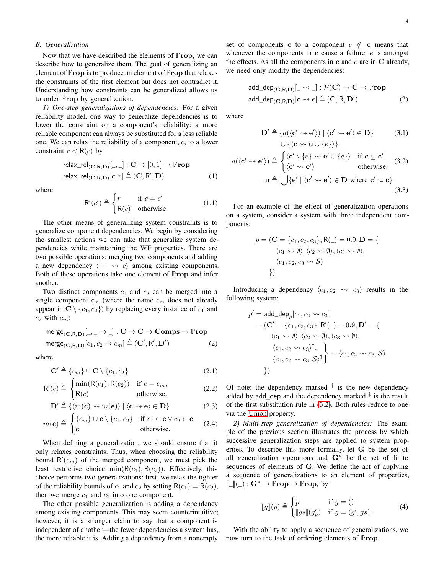# *B. Generalization*

Now that we have described the elements of **P**rop, we can describe how to generalize them. The goal of generalizing an element of **P**rop is to produce an element of **P**rop that relaxes the constraints of the first element but does not contradict it. Understanding how constraints can be generalized allows us to order **P**rop by generalization.

*1) One-step generalizations of dependencies:* For a given reliability model, one way to generalize dependencies is to lower the constraint on a component's reliability: a more reliable component can always be substituted for a less reliable one. We can relax the reliability of a component, c, to a lower constraint  $r < R(c)$  by

$$
\begin{aligned}\n\text{relax\_rel}_{(\mathbf{C}, \mathbf{R}, \mathbf{D})}[\_, \_]: \mathbf{C} \to [0, 1] \to \mathbb{P}\mathbf{rop} \\
\text{relax\_rel}_{(\mathbf{C}, \mathbf{R}, \mathbf{D})}[c, r] &\triangleq (\mathbf{C}, \mathbf{R}', \mathbf{D})\n\end{aligned} \tag{1}
$$

where

$$
\mathsf{R}'(c') \triangleq \begin{cases} r & \text{if } c = c' \\ \mathsf{R}(c) & \text{otherwise.} \end{cases}
$$
 (1.1)

The other means of generalizing system constraints is to generalize component dependencies. We begin by considering the smallest actions we can take that generalize system dependencies while maintaining the WF properties. There are two possible operations: merging two components and adding a new dependency  $\langle \cdots \leadsto c \rangle$  among existing components. Both of these operations take one element of **P**rop and infer another.

Two distinct components  $c_1$  and  $c_2$  can be merged into a single component  $c_m$  (where the name  $c_m$  does not already appear in  $C \setminus \{c_1, c_2\}$  by replacing every instance of  $c_1$  and  $c_2$  with  $c_m$ :

$$
merge_{(\mathbf{C},\mathbf{R},\mathbf{D})}[..., \to \_]: \mathbf{C} \to \mathbf{C} \to \mathbf{Comps} \to \mathbb{Prop}
$$
  

$$
merge_{(\mathbf{C},\mathbf{R},\mathbf{D})}[c_1, c_2 \to c_m] \triangleq (\mathbf{C}', \mathbf{R}', \mathbf{D}')
$$
 (2)

where

$$
\mathbf{C}' \triangleq \{c_m\} \cup \mathbf{C} \setminus \{c_1, c_2\} \tag{2.1}
$$

$$
R'(c) \triangleq \begin{cases} \min(R(c_1), R(c_2)) & \text{if } c = c_m, \\ R(c) & \text{otherwise.} \end{cases}
$$
 (2.2)

$$
\mathbf{D}' \triangleq \{ \langle m(\mathbf{c}) \leadsto m(\mathbf{e}) \rangle \mid \langle \mathbf{c} \leadsto \mathbf{e} \rangle \in \mathbf{D} \}
$$
 (2.3)

$$
m(\mathbf{c}) \triangleq \begin{cases} \{c_m\} \cup \mathbf{c} \setminus \{c_1, c_2\} & \text{if } c_1 \in \mathbf{c} \vee c_2 \in \mathbf{c}, \\ \mathbf{c} & \text{otherwise.} \end{cases} (2.4)
$$

When defining a generalization, we should ensure that it only relaxes constraints. Thus, when choosing the reliability bound  $R'(c_m)$  of the merged component, we must pick the least restrictive choice  $min(R(c_1), R(c_2))$ . Effectively, this choice performs two generalizations: first, we relax the tighter of the reliability bounds of  $c_1$  and  $c_2$  by setting  $R(c_1) = R(c_2)$ , then we merge  $c_1$  and  $c_2$  into one component.

The other possible generalization is adding a dependency among existing components. This may seem counterintuitive; however, it is a stronger claim to say that a component is independent of another—the fewer dependencies a system has, the more reliable it is. Adding a dependency from a nonempty

set of components c to a component  $e \notin c$  means that whenever the components in c cause a failure,  $e$  is amongst the effects. As all the components in  $c$  and  $e$  are in  $C$  already, we need only modify the dependencies:

$$
add\_dep_{(\mathbf{C}, \mathbf{R}, \mathbf{D})}[\_ \rightsquigarrow \_] : \mathcal{P}(\mathbf{C}) \to \mathbf{C} \to \mathbb{P}\mathbf{rop}
$$
  
add\\_dep\_{(\mathbf{C}, \mathbf{R}, \mathbf{D})}[\mathbf{c} \leadsto e] \triangleq (\mathbf{C}, \mathbf{R}, \mathbf{D}') \tag{3}

where

<span id="page-3-0"></span>
$$
\mathbf{D}' \triangleq \{ a(\langle \mathbf{c}' \leadsto \mathbf{e}' \rangle) \mid \langle \mathbf{c}' \leadsto \mathbf{e}' \rangle \in \mathbf{D} \} \tag{3.1}
$$

$$
\bigcup \{ \langle \mathbf{c} \leadsto \mathbf{u} \cup \{e\} \rangle \}
$$

$$
a(\langle \mathbf{c}' \leadsto \mathbf{e}' \rangle) \triangleq \begin{cases} \langle \mathbf{c}' \setminus \{e\} \leadsto \mathbf{e}' \cup \{e\} \rangle & \text{if } \mathbf{c} \subseteq \mathbf{c}',\\ \langle \mathbf{c}' \leadsto \mathbf{e}' \rangle & \text{otherwise.} \end{cases}
$$
 (3.2)  

$$
\mathbf{u} \triangleq \bigcup \{ \mathbf{e}' \mid \langle \mathbf{c}' \leadsto \mathbf{e}' \rangle \in \mathbf{D} \text{ where } \mathbf{c}' \subseteq \mathbf{c} \}
$$
 (3.3)

For an example of the effect of generalization operations on a system, consider a system with three independent components:

$$
p = (\mathbf{C} = \{c_1, c_2, c_3\}, \mathsf{R}(\_) = 0.9, \mathbf{D} = \{\langle c_1 \leadsto \emptyset \rangle, \langle c_2 \leadsto \emptyset \rangle, \langle c_3 \leadsto \emptyset \rangle, \\ \langle c_1, c_2, c_3 \leadsto \mathcal{S} \rangle \}
$$

Introducing a dependency  $\langle c_1, c_2 \leadsto c_3 \rangle$  results in the following system:

$$
p' = \text{add\_dep}_p[c_1, c_2 \rightsquigarrow c_3]
$$
  
=  $(\mathbf{C}' = \{c_1, c_2, c_3\}, \mathbf{R}'(\_) = 0.9, \mathbf{D}' = \{\langle c_1 \leadsto \emptyset \rangle, \langle c_2 \leadsto \emptyset \rangle, \langle c_3 \leadsto \emptyset \rangle, \langle c_1, c_2 \leadsto c_3 \rangle^{\dagger}, \langle c_1, c_2 \leadsto c_3, \mathcal{S} \rangle^{\dagger}\} \equiv \langle c_1, c_2 \leadsto c_3, \mathcal{S} \rangle$ 

Of note: the dependency marked  $\dagger$  is the new dependency added by add\_dep and the dependency marked  $\frac{1}{x}$  is the result of the first substitution rule in [\(3.2\)](#page-3-0). Both rules reduce to one via the [Union](#page-2-4) property.

*2) Multi-step generalization of dependencies:* The example of the previous section illustrates the process by which successive generalization steps are applied to system properties. To describe this more formally, let G be the set of all generalization operations and G<sup>∗</sup> be the set of finite sequences of elements of G. We define the act of applying a sequence of generalizations to an element of properties,  $\llbracket \_\ \rrbracket(\_) : \mathbf{G}^* \to \mathbb{P}$ **rop**  $\to \mathbb{P}$ **rop**, by

$$
[\![g]\!](p) \triangleq \begin{cases} p & \text{if } g = () \\ [\![gs]\!](g_p') & \text{if } g = (g', gs). \end{cases} \tag{4}
$$

With the ability to apply a sequence of generalizations, we now turn to the task of ordering elements of **P**rop.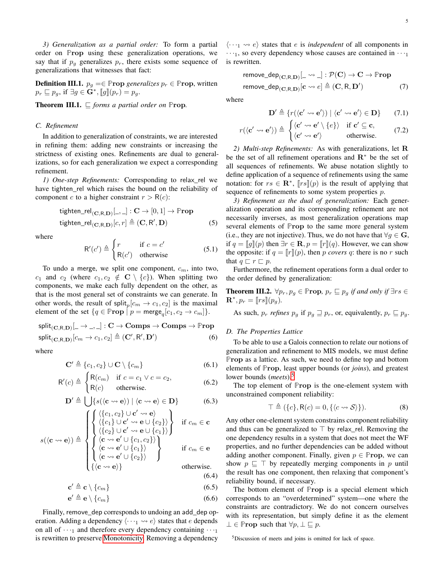*3) Generalization as a partial order:* To form a partial order on **P**rop using these generalization operations, we say that if  $p_g$  generalizes  $p_r$ , there exists some sequence of generalizations that witnesses that fact:

**Definition III.1.**  $p_g = \in \mathbb{P}$ **rop** *generalizes*  $p_r \in \mathbb{P}$ **rop**, written  $p_r \sqsubseteq p_g$ , if  $\exists g \in \mathbf{G}^*, [g](p_r) = p_g$ .

**Theorem III.1.**  $\sqsubseteq$  *forms a partial order on* **Prop.** 

#### *C. Refinement*

In addition to generalization of constraints, we are interested in refining them: adding new constraints or increasing the strictness of existing ones. Refinements are dual to generalizations, so for each generalization we expect a corresponding refinement.

*1) One-step Refinements:* Corresponding to relax\_rel we have tighten rel which raises the bound on the reliability of component c to a higher constraint  $r > R(c)$ :

$$
\begin{aligned}\n\text{tighten\_rel}_{(\mathbf{C}, \mathbf{R}, \mathbf{D})}[\_, \_]: \mathbf{C} \to [0, 1] \to \mathbb{P}\mathbf{rop} \\
\text{tighten\_rel}_{(\mathbf{C}, \mathbf{R}, \mathbf{D})}[c, r] \triangleq (\mathbf{C}, \mathbf{R}', \mathbf{D})\n\end{aligned} \tag{5}
$$

where

$$
R'(c') \triangleq \begin{cases} r & \text{if } c = c' \\ R(c') & \text{otherwise} \end{cases}
$$
 (5.1)

To undo a merge, we split one component,  $c_m$ , into two,  $c_1$  and  $c_2$  (where  $c_1, c_2 \notin \mathbf{C} \setminus \{c\}$ ). When splitting two components, we make each fully dependent on the other, as that is the most general set of constraints we can generate. In other words, the result of split<sub>p</sub> $[c_m \rightarrow c_1, c_2]$  is the maximal element of the set  $\{q \in \mathbb{P} \text{rop } \mid p = \text{merge}_q[c_1, c_2 \to c_m] \}.$ 

$$
split_{\substack{\mathbf{CD} \\ \mathbf{split}_{\substack{\mathbf{CD} \\ \mathbf{CD}}} [c_{m}, \mathbf{D})} [L \rightarrow L, L] : \mathbf{C} \rightarrow \mathbf{Comps} \rightarrow \mathbf{Comps} \rightarrow \mathbb{P}\mathbf{rop}
$$

where

$$
\mathbf{C}' \triangleq \{c_1, c_2\} \cup \mathbf{C} \setminus \{c_m\} \tag{6.1}
$$

$$
\mathsf{R}'(c) \triangleq \begin{cases} \mathsf{R}(c_m) & \text{if } c = c_1 \lor c = c_2, \\ \mathsf{R}(c) & \text{otherwise.} \end{cases} \tag{6.2}
$$

$$
\mathbf{D}' \triangleq \bigcup \{ s((\mathbf{c} \leadsto \mathbf{e})) \mid \langle \mathbf{c} \leadsto \mathbf{e} \rangle \in \mathbf{D} \}
$$
(6.3)

$$
s(\langle \mathbf{c} \leadsto \mathbf{e} \rangle) \triangleq \begin{cases} \left\{ \begin{matrix} \langle \{c_1, c_2\} \cup \mathbf{c}' \leadsto \mathbf{e} \rangle \\ \langle \{c_1\} \cup \mathbf{c}' \leadsto \mathbf{e} \cup \{c_2\} \rangle \\ \langle \{c_2\} \cup \mathbf{c}' \leadsto \mathbf{e} \cup \{c_1\} \rangle \\ \langle \mathbf{c} \leadsto \mathbf{e}' \cup \{c_1, c_2\} \rangle \\ \langle \mathbf{c} \leadsto \mathbf{e}' \cup \{c_1\} \rangle \\ \langle \mathbf{c} \leadsto \mathbf{e}' \cup \{c_2\} \rangle \end{matrix} \right) & \text{if } c_m \in \mathbf{c} \\ \left\{ \begin{matrix} \langle \mathbf{c} \leadsto \mathbf{e}' \cup \{c_1\} \rangle \\ \langle \mathbf{c} \leadsto \mathbf{e}' \cup \{c_2\} \rangle \\ \langle \mathbf{c} \leadsto \mathbf{e} \rangle \end{matrix} \right\} & \text{otherwise.} \end{cases}
$$

$$
\mathbf{c}' \triangleq \mathbf{c} \setminus \{c_m\} \tag{6.5}
$$

$$
\mathbf{e}' \triangleq \mathbf{e} \setminus \{c_m\} \tag{6.6}
$$

Finally, remove\_dep corresponds to undoing an add\_dep operation. Adding a dependency  $\langle \cdots \rangle$   $\leftrightarrow$  e) states that e depends on all of  $\cdots$ <sub>1</sub> and therefore every dependency containing  $\cdots$ <sub>1</sub> is rewritten to preserve [Monotonicity.](#page-2-2) Removing a dependency

 $\langle \cdots \rangle$  e) states that *e* is *independent* of all components in  $\cdots$ <sub>1</sub>, so every dependency whose causes are contained in  $\cdots$ <sub>1</sub> is rewritten.

$$
\begin{aligned}\n\text{remove\_dep}_{(\mathbf{C}, \mathbf{R}, \mathbf{D})}[\_ &\leadsto \_]: \mathcal{P}(\mathbf{C}) \to \mathbf{C} \to \mathbb{P}\mathbf{rop} \\
\text{remove\_dep}_{(\mathbf{C}, \mathbf{R}, \mathbf{D})}[\mathbf{c} \leadsto e] \triangleq (\mathbf{C}, \mathbf{R}, \mathbf{D}')\n\end{aligned} \tag{7}
$$

where

$$
\mathbf{D}' \triangleq \{r(\langle \mathbf{c}' \leadsto \mathbf{e}' \rangle) \mid \langle \mathbf{c}' \leadsto \mathbf{e}' \rangle \in \mathbf{D}\}\qquad(7.1)
$$

$$
r(\langle \mathbf{c'} \leadsto \mathbf{e'} \rangle) \triangleq \begin{cases} \langle \mathbf{c'} \leadsto \mathbf{e'} \setminus \{e\} \rangle & \text{if } \mathbf{c'} \subseteq \mathbf{c}, \\ \langle \mathbf{c'} \leadsto \mathbf{e'} \rangle & \text{otherwise.} \end{cases}
$$
(7.2)

*2) Multi-step Refinements:* As with generalizations, let R be the set of all refinement operations and  $\mathbb{R}^*$  be the set of all sequences of refinements. We abuse notation slightly to define application of a sequence of refinements using the same notation: for  $rs \in \mathbf{R}^*$ ,  $[rs](p)$  is the result of applying that sequence of refinements to some system properties  $p$ .

*3) Refinement as the dual of generalization:* Each generalization operation and its corresponding refinement are not necessarily inverses, as most generalization operations map several elements of **P**rop to the same more general system (i.e., they are not injective). Thus, we do not have that  $\forall g \in \mathbf{G}$ , if  $q = [q](p)$  then  $\exists r \in \mathbf{R}, p = [r](q)$ . However, we can show the opposite: if  $q = [r](p)$ , then p *covers* q: there is no r such that  $q \sqsubset r \sqsubset p$ .

Furthermore, the refinement operations form a dual order to the order defined by generalization:

**Theorem III.2.**  $\forall p_r, p_q \in \mathbb{P}$ **rop**,  $p_r \sqsubseteq p_q$  *if and only if* ∃*rs* ∈  $\mathbf{R}^*, p_r = [\![rs]\!](p_g).$ 

As such,  $p_r$  *refines*  $p_q$  if  $p_q \supseteq p_r$ , or, equivalently,  $p_r \supseteq p_q$ .

# *D. The Properties Lattice*

To be able to use a Galois connection to relate our notions of generalization and refinement to MIS models, we must define **P**rop as a lattice. As such, we need to define top and bottom elements of **P**rop, least upper bounds (or *joins*), and greatest lower bounds (*meets*).[5](#page-4-0)

The top element of **P**rop is the one-element system with unconstrained component reliability:

$$
\top \triangleq (\{c\}, \mathsf{R}(c) = 0, \{\langle c \leadsto \mathcal{S} \rangle\}).\tag{8}
$$

Any other one-element system constrains component reliability and thus can be generalized to  $\top$  by relax\_rel. Removing the one dependency results in a system that does not meet the WF properties, and no further dependencies can be added without adding another component. Finally, given  $p \in \mathbb{P}$ **rop**, we can show  $p \subseteq \top$  by repeatedly merging components in p until the result has one component, then relaxing that component's reliability bound, if necessary.

The bottom element of **P**rop is a special element which corresponds to an "overdetermined" system—one where the constraints are contradictory. We do not concern ourselves with its representation, but simply define it as the element  $\bot \in \mathbb{P}$ **rop** such that  $\forall p, \bot \sqsubseteq p$ .

<span id="page-4-0"></span><sup>5</sup>Discussion of meets and joins is omitted for lack of space.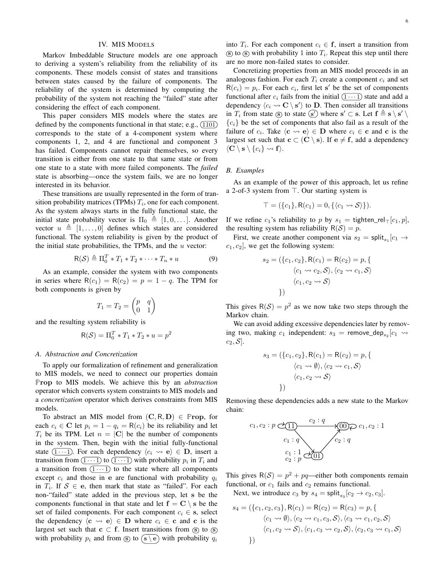# IV. MIS MODELS

<span id="page-5-0"></span>Markov Imbeddable Structure models are one approach to deriving a system's reliability from the reliability of its components. These models consist of states and transitions between states caused by the failure of components. The reliability of the system is determined by computing the probability of the system not reaching the "failed" state after considering the effect of each component.

This paper considers MIS models where the states are defined by the components functional in that state; e.g.,  $(1101)$ corresponds to the state of a 4-component system where components 1, 2, and 4 are functional and component 3 has failed. Components cannot repair themselves, so every transition is either from one state to that same state or from one state to a state with more failed components. The *failed* state is absorbing—once the system fails, we are no longer interested in its behavior.

These transitions are usually represented in the form of transition probability matrices (TPMs)  $T_i$ , one for each component. As the system always starts in the fully functional state, the initial state probability vector is  $\Pi_0 \triangleq [1, 0, \ldots]$ . Another vector  $u \triangleq [1, \ldots, 0]$  defines which states are considered functional. The system reliability is given by the product of the initial state probabilities, the TPMs, and the  $u$  vector:

$$
\mathsf{R}(\mathcal{S}) \triangleq \Pi_0^T * T_1 * T_2 * \cdots * T_n * u \tag{9}
$$

As an example, consider the system with two components in series where  $R(c_1) = R(c_2) = p = 1 - q$ . The TPM for both components is given by

$$
T_1 = T_2 = \begin{pmatrix} p & q \\ 0 & 1 \end{pmatrix}
$$

and the resulting system reliability is

$$
R(S) = \Pi_0^T * T_1 * T_2 * u = p^2
$$

#### *A. Abstraction and Concretization*

To apply our formalization of refinement and generalization to MIS models, we need to connect our properties domain **P**rop to MIS models. We achieve this by an *abstraction* operator which converts system constraints to MIS models and a *concretization* operator which derives constraints from MIS models.

To abstract an MIS model from  $(C, R, D) \in \mathbb{P}$ **rop**, for each  $c_i \in \mathbf{C}$  let  $p_i = 1 - q_i = \mathsf{R}(c_i)$  be its reliability and let  $T_i$  be its TPM. Let  $n = |C|$  be the number of components in the system. Then, begin with the initial fully-functional state  $(1 \cdots 1)$ . For each dependency  $\langle c_i \leadsto e \rangle \in \mathbf{D}$ , insert a transition from  $(1 \cdots 1)$  to  $(1 \cdots 1)$  with probability  $p_i$  in  $T_i$  and a transition from  $(1 \cdots 1)$  to the state where all components except  $c_i$  and those in e are functional with probability  $q_i$ in  $T_i$ . If  $S \in \mathbf{e}$ , then mark that state as "failed". For each non-"failed" state added in the previous step, let s be the components functional in that state and let  $f = C \setminus s$  be the set of failed components. For each component  $c_i \in \mathbf{s}$ , select the dependency  $\langle \mathbf{c} \leadsto \mathbf{e} \rangle \in \mathbf{D}$  where  $c_i \in \mathbf{c}$  and  $\mathbf{c}$  is the largest set such that  $c \subset f$ . Insert transitions from  $\circled{s}$  to  $\circled{s}$ with probability  $p_i$  and from  $\circledS$  to  $\circledast$  with probability  $q_i$  into  $T_i$ . For each component  $c_i \in \mathbf{f}$ , insert a transition from  $\mathbf{s}$  to  $\mathbf{s}$  with probability 1 into  $T_i$ . Repeat this step until there are no more non-failed states to consider.

Concretizing properties from an MIS model proceeds in an analogous fashion. For each  $T_i$  create a component  $c_i$  and set  $R(c_i) = p_i$ . For each  $c_i$ , first let s' be the set of components functional after  $c_i$  fails from the initial  $(1 \cdots 1)$  state and add a dependency  $\langle c_i \leadsto \mathbf{C} \setminus \mathbf{s'} \rangle$  to **D**. Then consider all transitions in  $T_i$  from state s to state s' where  $s' \subset s$ . Let  $f \triangleq s \setminus s' \setminus s'$  ${c_i}$  be the set of components that also fail as a result of the failure of  $c_i$ . Take  $\langle \mathbf{c} \leadsto \mathbf{e} \rangle \in \mathbf{D}$  where  $c_i \in \mathbf{c}$  and  $\mathbf{c}$  is the largest set such that  $c \subset (C \setminus s)$ . If  $e \neq f$ , add a dependency  $\langle \mathbf{C} \setminus \mathbf{s} \setminus \{c_i\} \leadsto \mathbf{f} \rangle.$ 

# *B. Examples*

As an example of the power of this approach, let us refine a 2-of-3 system from ⊤. Our starting system is

$$
\top = (\{c_1\}, \mathsf{R}(c_1) = 0, \{\langle c_1 \leadsto \mathcal{S} \rangle\}).
$$

If we refine  $c_1$ 's reliability to p by  $s_1 = \text{tighten\_rel}_{\top}[c_1, p],$ the resulting system has reliability  $R(S) = p$ .

First, we create another component via  $s_2 = \text{split}_{s_1}[c_1 \rightarrow$  $c_1, c_2$ , we get the following system:

$$
s_2 = (\{c_1, c_2\}, \mathsf{R}(c_1) = \mathsf{R}(c_2) = p, \{ \langle c_1 \leadsto c_2, \mathcal{S} \rangle, \langle c_2 \leadsto c_1, \mathcal{S} \rangle \langle c_1, c_2 \leadsto \mathcal{S} \rangle \}
$$

This gives  $R(S) = p^2$  as we now take two steps through the Markov chain.

We can avoid adding excessive dependencies later by removing two, making  $c_1$  independent:  $s_3$  = remove\_dep<sub>s2</sub> [ $c_1 \rightsquigarrow$  $c_2, \mathcal{S}$ .

$$
s_3 = (\{c_1, c_2\}, \mathsf{R}(c_1) = \mathsf{R}(c_2) = p, \{ \langle c_1 \leadsto \emptyset \rangle, \langle c_2 \leadsto c_1, \mathcal{S} \rangle \langle c_1, c_2 \leadsto \mathcal{S} \rangle \}
$$

Removing these dependencies adds a new state to the Markov chain:

$$
c_1, c_2: p \in \underbrace{(11)}_{c_1: q} \xrightarrow{c_2: q} \underbrace{(00)}_{c_2: q} \triangleright c_1, c_2: 1
$$
  

$$
\underbrace{c_1: 1}_{c_2: p} \underbrace{(00)}_{c_2: q}
$$

This gives  $R(S) = p^2 + pq$ —either both components remain functional, or  $c_1$  fails and  $c_2$  remains functional.

Next, we introduce  $c_3$  by  $s_4 = \text{split}_{s_3}[c_2 \to c_2, c_3]$ .

$$
s_4 = (\{c_1, c_2, c_3\}, \mathsf{R}(c_1) = \mathsf{R}(c_2) = \mathsf{R}(c_3) = p, \{ \langle c_1 \leadsto \emptyset \rangle, \langle c_2 \leadsto c_1, c_3, \mathcal{S} \rangle, \langle c_3 \leadsto c_1, c_2, \mathcal{S} \rangle \}
$$

$$
\langle c_1, c_2 \leadsto \mathcal{S} \rangle, \langle c_1, c_3 \leadsto c_2, \mathcal{S} \rangle, \langle c_2, c_3 \leadsto c_1, \mathcal{S} \rangle \}
$$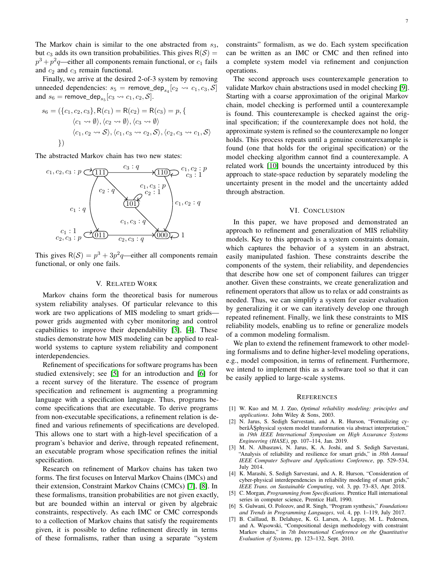The Markov chain is similar to the one abstracted from  $s_3$ , but  $c_3$  adds its own transition probabilities. This gives  $R(S) =$  $p^3 + p^2q$ —either all components remain functional, or  $c_1$  fails and  $c_2$  and  $c_3$  remain functional.

Finally, we arrive at the desired 2-of-3 system by removing unneeded dependencies:  $s_5$  = remove\_dep<sub>s4</sub> [ $c_2 \rightsquigarrow c_1, c_3, S$ ] and  $s_6$  = remove\_dep<sub>s<sub>5</sub></sub> [ $c_3 \rightsquigarrow c_1, c_2, S$ ].

$$
s_6 = (\{c_1, c_2, c_3\}, \mathsf{R}(c_1) = \mathsf{R}(c_2) = \mathsf{R}(c_3) = p, \{ \langle c_1 \leadsto \emptyset \rangle, \langle c_2 \leadsto \emptyset \rangle, \langle c_3 \leadsto \emptyset \rangle \}
$$

$$
\langle c_1, c_2 \leadsto \mathcal{S} \rangle, \langle c_1, c_3 \leadsto c_2, \mathcal{S} \rangle, \langle c_2, c_3 \leadsto c_1, \mathcal{S} \rangle \}
$$

The abstracted Markov chain has two new states:



This gives  $R(S) = p^3 + 3p^2q$ —either all components remain functional, or only one fails.

# V. RELATED WORK

<span id="page-6-2"></span>Markov chains form the theoretical basis for numerous system reliability analyses. Of particular relevance to this work are two applications of MIS modeling to smart grids power grids augmented with cyber monitoring and control capabilities to improve their dependability [\[3\]](#page-6-4), [\[4\]](#page-6-5). These studies demonstrate how MIS modeling can be applied to realworld systems to capture system reliability and component interdependencies.

Refinement of specifications for software programs has been studied extensively; see [\[5\]](#page-6-6) for an introduction and [\[6\]](#page-6-7) for a recent survey of the literature. The essence of program specification and refinement is augmenting a programming language with a specification language. Thus, programs become specifications that are executable. To derive programs from non-executable specifications, a refinement relation is defined and various refinements of specifications are developed. This allows one to start with a high-level specification of a program's behavior and derive, through repeated refinement, an executable program whose specification refines the initial specification.

Research on refinement of Markov chains has taken two forms. The first focuses on Interval Markov Chains (IMCs) and their extension, Constraint Markov Chains (CMCs) [\[7\]](#page-6-8), [\[8\]](#page-7-0). In these formalisms, transition probabilities are not given exactly, but are bounded within an interval or given by algebraic constraints, respectively. As each IMC or CMC corresponds to a collection of Markov chains that satisfy the requirements given, it is possible to define refinement directly in terms of these formalisms, rather than using a separate "system

constraints" formalism, as we do. Each system specification can be written as an IMC or CMC and then refined into a complete system model via refinement and conjunction operations.

The second approach uses counterexample generation to validate Markov chain abstractions used in model checking [\[9\]](#page-7-1). Starting with a coarse approximation of the original Markov chain, model checking is performed until a counterexample is found. This counterexample is checked against the original specification; if the counterexample does not hold, the approximate system is refined so the counterexample no longer holds. This process repeats until a genuine counterexample is found (one that holds for the original specification) or the model checking algorithm cannot find a counterexample. A related work [\[10\]](#page-7-2) bounds the uncertainty introduced by this approach to state-space reduction by separately modeling the uncertainty present in the model and the uncertainty added through abstraction.

### VI. CONCLUSION

<span id="page-6-3"></span>In this paper, we have proposed and demonstrated an approach to refinement and generalization of MIS reliability models. Key to this approach is a system constraints domain, which captures the behavior of a system in an abstract, easily manipulated fashion. These constraints describe the components of the system, their reliability, and dependencies that describe how one set of component failures can trigger another. Given these constraints, we create generalization and refinement operators that allow us to relax or add constraints as needed. Thus, we can simplify a system for easier evaluation by generalizing it or we can iteratively develop one through repeated refinement. Finally, we link these constraints to MIS reliability models, enabling us to refine or generalize models of a common modeling formalism.

We plan to extend the refinement framework to other modeling formalisms and to define higher-level modeling operations, e.g., model composition, in terms of refinement. Furthermore, we intend to implement this as a software tool so that it can be easily applied to large-scale systems.

#### **REFERENCES**

- <span id="page-6-0"></span>[1] W. Kuo and M. J. Zuo, *Optimal reliability modeling: principles and applications*. John Wiley & Sons, 2003.
- <span id="page-6-1"></span>[2] N. Jarus, S. Sedigh Sarvestani, and A. R. Hurson, "Formalizing cyberâ $\tilde{A}$  Sphysical system model transformation via abstract interpretation," in *19th IEEE International Symposium on High Assurance Systems Engineering (HASE)*, pp. 107–114, Jan. 2019.
- <span id="page-6-4"></span>[3] M. N. Albasrawi, N. Jarus, K. A. Joshi, and S. Sedigh Sarvestani, "Analysis of reliability and resilience for smart grids," in *38th Annual IEEE Computer Software and Applications Conference*, pp. 529–534, July 2014.
- <span id="page-6-5"></span>[4] K. Marashi, S. Sedigh Sarvestani, and A. R. Hurson, "Consideration of cyber-physical interdependencies in reliability modeling of smart grids," *IEEE Trans. on Sustainable Computing*, vol. 3, pp. 73–83, Apr. 2018.
- <span id="page-6-6"></span>[5] C. Morgan, *Programming from Specifications*. Prentice Hall international series in computer science, Prentice Hall, 1990.
- <span id="page-6-7"></span>[6] S. Gulwani, O. Polozov, and R. Singh, "Program synthesis," *Foundations and Trends in Programming Languages*, vol. 4, pp. 1–119, July 2017.
- <span id="page-6-8"></span>[7] B. Caillaud, B. Delahaye, K. G. Larsen, A. Legay, M. L. Pedersen, and A. Wąsowski, "Compositional design methodology with constraint Markov chains," in *7th International Conference on the Quantitative Evaluation of Systems*, pp. 123–132, Sept. 2010.